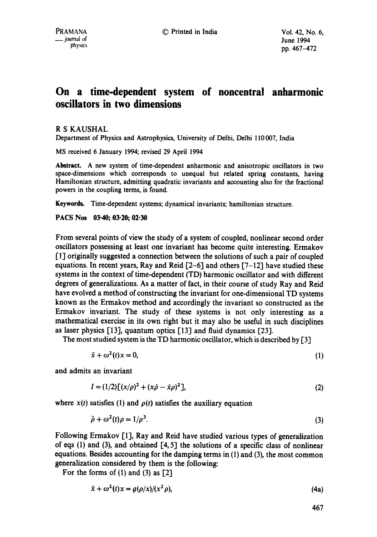# **On a time-dependent system of noncentral anharmonic oscillators in two dimensions**

## R S KAUSHAL

Department of Physics and Astrophysics, University of Delhi, Delhi 110007, India

MS received 6 January 1994; revised 29 April 1994

**Abstract.** A new system of time-dependent anharmonic and anisotropic oscillators in two space-dimensions which corresponds to unequal but related spring constants, having Hamiltonian structure, admitting quadratic invariants and accounting also for the fractional powers in the coupling terms, is found.

Keywords. Time-dependent systems; dynamical invariants, hamiltonian structure.

**PACS Nos 03-40; 03.20; 02.30** 

From several points of view the study of a system of coupled, nonlinear second order oscillators possessing at least one invariant has become quite interesting. Ermakov [1] originally suggested a connection between the solutions of such a pair of coupled equations. In recent years, Ray and Reid  $[2-6]$  and others  $[7-12]$  have studied these systems in the context of time-dependent (TD) harmonic oscillator and with different degrees of generalizations. As a matter of fact, in their course of study Ray and Reid have evolved a method of constructing the invariant for one-dimensional TD systems known as the Ermakov method and accordingly the invariant so constructed as the Ermakov invariant. The study of these systems is not only interesting as a mathematical exercise in its own right but it may also be useful in such disciplines as laser physics [13], quantum optics [13] and fluid dynamics [23].

The most studied system is the TD harmonic oscillator, which is described by [3]

$$
\ddot{x} + \omega^2(t)x = 0,\tag{1}
$$

and admits an invariant

$$
I = (1/2)[(x/\rho)^2 + (x\dot{\rho} - \dot{x}\rho)^2],
$$
\n(2)

where  $x(t)$  satisfies (1) and  $\rho(t)$  satisfies the auxiliary equation

$$
\ddot{\rho} + \omega^2(t)\rho = 1/\rho^3. \tag{3}
$$

Following Ermakov [1], Ray and Reid have studied various types of generalization of eqs (1) and (3), and obtained  $[4, 5]$  the solutions of a specific class of nonlinear equations. Besides accounting for the damping terms in (1) and (3), the most common generalization considered by them is the following:

For the forms of  $(1)$  and  $(3)$  as  $[2]$ 

$$
\ddot{x} + \omega^2(t)x = g(\rho/x)/(x^2\rho),\tag{4a}
$$

467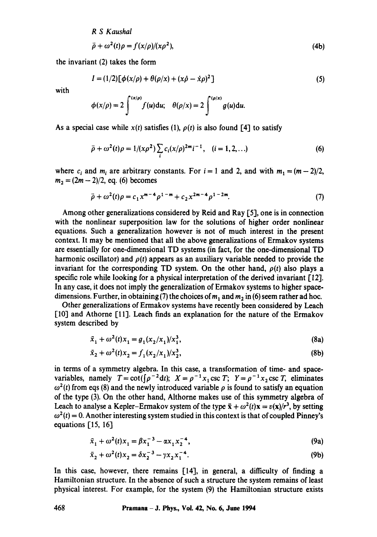*R S Kaushal* 

$$
\ddot{\rho} + \omega^2(t)\rho = f(x/\rho)/(x\rho^2),\tag{4b}
$$

the invariant (2) takes the form

$$
I = (1/2)[\phi(x/\rho) + \theta(\rho/x) + (x\dot{\rho} - \dot{x}\rho)^2]
$$
 (5)

with

$$
\phi(x/\rho)=2\int^{(x/\rho)}f(u)\mathrm{d}u;\quad\theta(\rho/x)=2\int^{(\rho/x)}g(u)\mathrm{d}u.
$$

As a special case while  $x(t)$  satisfies (1),  $\rho(t)$  is also found [4] to satisfy

$$
\ddot{\rho} + \omega^2(t)\rho = 1/(x\rho^2) \sum_i c_i (x/\rho)^{2m} i^{-1}, \quad (i = 1, 2, ...)
$$
 (6)

where  $c_i$  and  $m_i$  are arbitrary constants. For  $i = 1$  and 2, and with  $m_1 = (m - 2)/2$ ,  $m_2 = (2m - 2)/2$ , eq. (6) becomes

$$
\ddot{\rho} + \omega^2(t)\rho = c_1 x^{m-4} \rho^{1-m} + c_2 x^{2m-4} \rho^{1-2m}.
$$
 (7)

Among other generalizations considered by Reid and Ray [5], one is in connection with the nonlinear superposition law for the solutions of higher order nonlinear equations. Such a generalization however is not of much interest in the present context. It may be mentioned that all the above generalizations of Ermakov systems are essentially for one-dimensional TD systems (in fact, for the one-dimensional TD harmonic oscillator) and  $\rho(t)$  appears as an auxiliary variable needed to provide the invariant for the corresponding TD system. On the other hand,  $\rho(t)$  also plays a specific role while looking for a physical interpretation of the derived invariant [12]. In any case, it does not imply the generalization of Ermakov systems to higher spacedimensions. Further, in obtaining (7) the choices of  $m_1$  and  $m_2$  in (6) seem rather ad hoc.

Other generalizations of Ermakov systems have recently been considered by Leach [10] and Athorne [11]. Leach finds an explanation for the nature of the Ermakov system described by

$$
\ddot{x}_1 + \omega^2(t)x_1 = g_1(x_2/x_1)/x_1^3,\tag{8a}
$$

$$
\ddot{x}_2 + \omega^2(t)x_2 = f_1(x_2/x_1)/x_2^3,\tag{8b}
$$

in terms of a symmetry algebra. In this case, a transformation of time- and spacevariables, namely  $T = \cot(\int \rho^{-2} dt)$ ;  $X = \rho^{-1}x_1 \csc T$ ;  $Y = \rho^{-1}x_2 \csc T$ , eliminates  $\omega^2(t)$  from eqs (8) and the newly introduced variable  $\rho$  is found to satisfy an equation of the type (3). On the other hand, Althorne makes use of this symmetry algebra of Leach to analyse a Kepler-Ermakov system of the type  $\ddot{x} + \omega^2(t)x = v(x)/r^3$ , by setting  $\omega^2(t) = 0$ . Another interesting system studied in this context is that of coupled Pinney's equations [15, 16]

$$
\ddot{x}_1 + \omega^2(t)x_1 = \beta x_1^{-3} - \alpha x_1 x_2^{-4},\tag{9a}
$$

$$
\ddot{x}_2 + \omega^2(t)x_2 = \delta x_2^{-3} - \gamma x_2 x_1^{-4}.
$$
 (9b)

In this case, however, there remains [14], in general, a difficulty of finding a Hamiltonian structure. In the absence of such a structure the system remains of least physical interest. For example, for the system (9) the Hamiltonian structure exists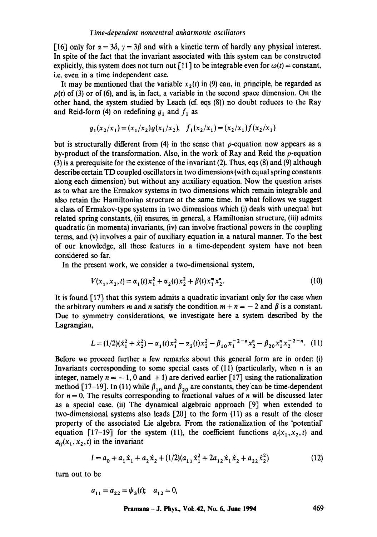[16] only for  $\alpha = 3\delta$ ,  $\gamma = 3\beta$  and with a kinetic term of hardly any physical interest. In spite of the fact that the invariant associated with this system can be constructed explicitly, this system does not turn out [11] to be integrable even for  $\omega(t) =$  constant, i.e. even in a time independent case.

It may be mentioned that the variable  $x_2(t)$  in (9) can, in principle, be regarded as  $p(t)$  of (3) or of (6), and is, in fact, a variable in the second space dimension. On the other hand, the system studied by Leach (cf. eqs (8)) no doubt reduces to the Ray and Reid-form (4) on redefining  $g_1$  and  $f_1$  as

$$
g_1(x_2/x_1) = (x_1/x_2)g(x_1/x_2), \quad f_1(x_2/x_1) = (x_2/x_1)f(x_2/x_1)
$$

but is structurally different from (4) in the sense that  $\rho$ -equation now appears as a by-product of the transformation. Also, in the work of Ray and Reid the  $\rho$ -equation (3) is a prerequisite for the existence of the invariant (2). Thus, eqs (8) and (9) although describe certain TD coupled oscillators in two dimensions (with equal spring constants along each dimension) but without any auxiliary equation. Now the question arises as to what are the Ermakov systems in two dimensions which remain integrable and also retain the Hamiltonian structure at the same time. In what follows we suggest a class of Ermakov-type systems in two dimensions which (i) deals with unequal but related spring constants, (ii) ensures, in general, a Hamiltonian structure, (iii) admits quadratic (in momenta) invariants,  $(iv)$  can involve fractional powers in the coupling terms, and (v) involves a pair of auxiliary equation in a natural manner. To the best of our knowledge, all these features in a time-dependent system have not been considered so far.

In the present work, we consider a two-dimensional system,

$$
V(x_1, x_2, t) = \alpha_1(t)x_1^2 + \alpha_2(t)x_2^2 + \beta(t)x_1^m x_2^n.
$$
 (10)

It is found [17] that this system admits a quadratic invariant only for the case when the arbitrary numbers m and n satisfy the condition  $m + n = -2$  and  $\beta$  is a constant. Due to symmetry considerations, we investigate here a system described by the Lagrangian,

$$
L = (1/2)(\dot{x}_1^2 + \dot{x}_2^2) - \alpha_1(t)x_1^2 - \alpha_2(t)x_2^2 - \beta_{10}x_1^{-2-n}x_2^n - \beta_{20}x_1^n x_2^{-2-n}.
$$
 (11)

Before we proceed further a few remarks about this general form are in order: (i) Invariants corresponding to some special cases of  $(11)$  (particularly, when *n* is an integer, namely  $n = -1$ , 0 and +1) are derived earlier [17] using the rationalization method [17-19]. In (11) while  $\beta_{10}$  and  $\beta_{20}$  are constants, they can be time-dependent for  $n = 0$ . The results corresponding to fractional values of n will be discussed later as a special ease. (ii) The dynamical algebraic approach [9] when extended to two-dimensional systems also leads [20] to the form (I1) as a result of the closer property of the associated Lie algebra. From the rationalization of the 'potential' equation [17-19] for the system (11), the coefficient functions  $a_i(x_1, x_2, t)$  and  $a_{ij}(x_1, x_2, t)$  in the invariant

$$
I = a_0 + a_1 \dot{x}_1 + a_2 \dot{x}_2 + (1/2)(a_{11} \dot{x}_1^2 + 2a_{12} \dot{x}_1 \dot{x}_2 + a_{22} \dot{x}_2^2)
$$
(12)

turn out to be

$$
a_{11} = a_{22} = \psi_3(t); \quad a_{12} = 0,
$$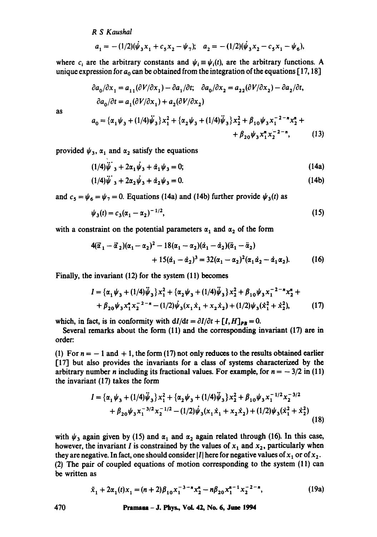### *R S Kaushal*

as

$$
a_1 = -(1/2)(\dot{\psi}_3 x_1 + c_5 x_2 - \psi_7); \quad a_2 = -(1/2)(\dot{\psi}_3 x_2 - c_5 x_1 - \psi_6),
$$

where  $c_i$  are the arbitrary constants and  $\psi_i = \psi_i(t)$ , are the arbitrary functions. A unique expression for  $a_0$  can be obtained from the integration of the equations [17,18]

$$
\partial a_0 / \partial x_1 = a_{11} (\partial V / \partial x_1) - \partial a_1 / \partial t; \quad \partial a_0 / \partial x_2 = a_{22} (\partial V / \partial x_2) - \partial a_2 / \partial t, \n\partial a_0 / \partial t = a_1 (\partial V / \partial x_1) + a_2 (\partial V / \partial x_2) \n a_0 = \{ \alpha_1 \psi_3 + (1/4) \psi_3 \} x_1^2 + \{ \alpha_2 \psi_3 + (1/4) \psi_3 \} x_2^2 + \beta_{10} \psi_3 x_1^{-2 - n} x_2^n + \n+ \beta_{20} \psi_3 x_1^n x_2^{-2 - n},
$$
\n(13)

provided  $\psi_3$ ,  $\alpha_1$  and  $\alpha_2$  satisfy the equations

$$
(1/4)\ddot{\psi}_{3} + 2\alpha_{1}\dot{\psi}_{3} + \dot{\alpha}_{1}\dot{\psi}_{3} = 0; \qquad (14a)
$$

$$
(1/4)\ddot{\psi}_{3} + 2\alpha_{2}\dot{\psi}_{3} + \dot{\alpha}_{2}\dot{\psi}_{3} = 0. \tag{14b}
$$

and  $c_5 = \psi_6 = \psi_7 = 0$ . Equations (14a) and (14b) further provide  $\psi_3(t)$  as

$$
\psi_3(t) = c_3(\alpha_1 - \alpha_2)^{-1/2},\tag{15}
$$

with a constraint on the potential parameters  $\alpha_1$  and  $\alpha_2$  of the form

$$
4(\ddot{\alpha}_1 - \ddot{\alpha}_2)(\alpha_1 - \alpha_2)^2 - 18(\alpha_1 - \alpha_2)(\dot{\alpha}_1 - \dot{\alpha}_2)(\ddot{\alpha}_1 - \ddot{\alpha}_2) + 15(\dot{\alpha}_1 - \dot{\alpha}_2)^3 = 32(\alpha_1 - \alpha_2)^2(\alpha_1\dot{\alpha}_2 - \dot{\alpha}_1\alpha_2).
$$
 (16)

Finally, the invariant  $(12)$  for the system  $(11)$  becomes

$$
I = \{ \alpha_1 \psi_3 + (1/4)\ddot{\psi}_3 \} x_1^2 + \{ \alpha_2 \psi_3 + (1/4)\ddot{\psi}_3 \} x_2^2 + \beta_{10} \psi_3 x_1^{-2-\frac{\pi}{2}} x_2^{\pi} + + \beta_{20} \psi_3 x_1^{\pi} x_2^{-2-\frac{\pi}{2}} - (1/2)\dot{\psi}_3 (x_1 \dot{x}_1 + x_2 \dot{x}_2) + (1/2)\psi_3 (\dot{x}_1^2 + \dot{x}_2^2), \tag{17}
$$

which, in fact, is in conformity with  $dI/dt = \partial I/\partial t + [I, H]_{PB} = 0$ .

Several remarks about the form  $(11)$  and the corresponding invariant  $(17)$  are in order:

(1) For  $n = -1$  and  $+1$ , the form (17) not only reduces to the results obtained earlier [17] but also provides the invariants for a class of systems characterized by the arbitrary number *n* including its fractional values. For example, for  $n = -3/2$  in (11) the invariant (17) takes the form

$$
I = \{ \alpha_1 \psi_3 + (1/4)\ddot{\psi}_3 \} x_1^2 + \{ \alpha_2 \psi_3 + (1/4)\ddot{\psi}_3 \} x_2^2 + \beta_{10} \psi_3 x_1^{-1/2} x_2^{-3/2} + \beta_{20} \psi_3 x_1^{-3/2} x_2^{-1/2} - (1/2)\dot{\psi}_3 (x_1 \dot{x}_1 + x_2 \dot{x}_2) + (1/2)\psi_3 (\dot{x}_1^2 + \dot{x}_2^2) \tag{18}
$$

with  $\psi_3$  again given by (15) and  $\alpha_1$  and  $\alpha_2$  again related through (16). In this case, however, the invariant I is constrained by the values of  $x_1$  and  $x_2$ , particularly when they are negative. In fact, one should consider |I| here for negative values of  $x_1$  or of  $x_2$ . (2) The pair of coupled equations of motion corresponding to the system (11) can be written as

$$
\ddot{x}_1 + 2\alpha_1(t)x_1 = (n+2)\beta_{10}x_1^{-3-n}x_2^n - n\beta_{20}x_1^{n-1}x_2^{-2-n},
$$
\n(19a)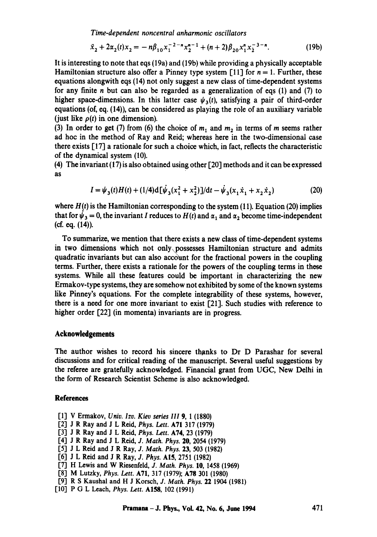*Time-dependent noncentral anharmonic oscillators* 

$$
\ddot{x}_2 + 2\alpha_2(t)x_2 = -n\beta_{10}x_1^{-2-n}x_2^{n-1} + (n+2)\beta_{20}x_1^n x_2^{-3-n}.\tag{19b}
$$

It is interesting to note that eqs (19a) and (19b) while providing a physically acceptable Hamiltonian structure also offer a Pinney type system [11] for  $n = 1$ . Further, these equations alongwith eqs (14) not only suggest a new class of time-dependent systems for any finite  $n$  but can also be regarded as a generalization of eqs (1) and (7) to higher space-dimensions. In this latter case  $\psi_3(t)$ , satisfying a pair of third-order equations (of, eq. (14)), can be considered as playing the role of an auxiliary variable (just like  $\rho(t)$  in one dimension).

(3) In order to get (7) from (6) the choice of  $m_1$  and  $m_2$  in terms of m seems rather ad hoc in the method of Ray and Reid; whereas here in the two-dimensional case there exists [17] a rationale for such a choice which, in fact, reflects the characteristic of the dynamical system (10).

(4) The invariant (17) is also obtained using other [20] methods and it can be expressed as

$$
I = \psi_3(t)H(t) + (1/4)d[\dot{\psi}_3(x_1^2 + x_2^2)]/dt - \dot{\psi}_3(x_1\dot{x}_1 + x_2\dot{x}_2)
$$
 (20)

where  $H(t)$  is the Hamiltonian corresponding to the system (11). Equation (20) implies that for  $\psi_3 = 0$ , the invariant I reduces to  $H(t)$  and  $\alpha_1$  and  $\alpha_2$  become time-independent (cf. eq. (14)).

To summarize, we mention that there exists a new class of time-dependent systems in two dimensions which not only possesses Hamiltonian structure and admits quadratic invariants but can also account for the fractional powers in the coupling terms. Further, there exists a rationale for the powers of the coupling terms in those systems. While all these features could be important in characterizing the new Ermakov-type systems, they are somehow not exhibited by some of the known systems like Pinney's equations. For the complete integrability of these systems, however, there is a need for one more invariant to exist [21]. Such studies with reference to higher order [22] (in momenta) invariants are in progress.

## **Acknowledgements**

The author wishes to record his sincere thanks to Dr D Parashar for several discussions and for critical reading of the manuscript. Several useful suggestions by the referee are gratefully acknowledged. Financial grant from UGC, New Delhi in the form of Research Scientist Scheme is also acknowledged.

#### **References**

- ['1] V Ermakov, *Univ. lzv. Kiev series III* 9, 1 (1880)
- ['2] J R Ray and J L Reid, *Phys. Lett.* A71 317 (1979)
- ['3] J R Ray and J L Reid, *Phys. Lett.* A74, 23 (1979)
- ['4] J R Ray and J L Reid, J. *Math. Phys.* 20, 2054 (1979)
- ['5] J L Reid and J R Ray, *J. Math. Phys.* 23, 503 (1982)
- [6] J L Reid and J R Ray, *J. Phys.* AI5, 2751 (1982)
- ['7] H Lewis and W Riesenfeld, J. *Math. Phys.* 10, 1458 (1969)
- ['8] M Lutzky, *Phys. Lett.* A71, 317 (1979); A78 301 (1980)
- ['9] R S Kaushal and H J Korsch, *J. Math. Phys.* 22 1904 (1981)
- [10"] P G L Leach, *Phys. Lett.* A158, 102 (1991)